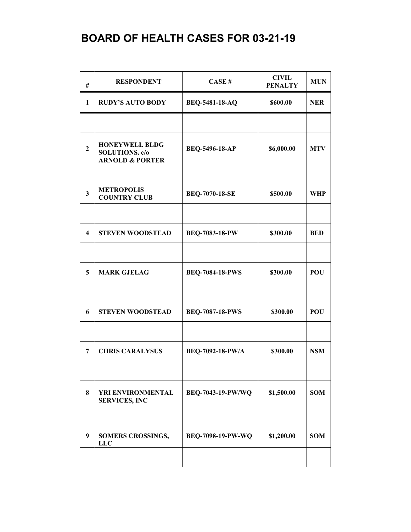| #                       | <b>RESPONDENT</b>                                                            | CASE#                    | <b>CIVIL</b><br><b>PENALTY</b> | <b>MUN</b> |
|-------------------------|------------------------------------------------------------------------------|--------------------------|--------------------------------|------------|
| 1                       | <b>RUDY'S AUTO BODY</b>                                                      | <b>BEQ-5481-18-AQ</b>    | \$600.00                       | <b>NER</b> |
|                         |                                                                              |                          |                                |            |
| $\overline{2}$          | <b>HONEYWELL BLDG</b><br><b>SOLUTIONS.</b> c/o<br><b>ARNOLD &amp; PORTER</b> | BEQ-5496-18-AP           | \$6,000.00                     | <b>MTV</b> |
|                         |                                                                              |                          |                                |            |
| $\overline{\mathbf{3}}$ | <b>METROPOLIS</b><br><b>COUNTRY CLUB</b>                                     | <b>BEQ-7070-18-SE</b>    | \$500.00                       | <b>WHP</b> |
|                         |                                                                              |                          |                                |            |
| $\overline{\mathbf{4}}$ | <b>STEVEN WOODSTEAD</b>                                                      | <b>BEQ-7083-18-PW</b>    | \$300.00                       | <b>BED</b> |
|                         |                                                                              |                          |                                |            |
| 5                       | <b>MARK GJELAG</b>                                                           | <b>BEQ-7084-18-PWS</b>   | \$300.00                       | <b>POU</b> |
|                         |                                                                              |                          |                                |            |
| 6                       | <b>STEVEN WOODSTEAD</b>                                                      | <b>BEQ-7087-18-PWS</b>   | \$300.00                       | POU        |
|                         |                                                                              |                          |                                |            |
| 7                       | <b>CHRIS CARALYSUS</b>                                                       | BEQ-7092-18-PW/A         | \$300.00                       | <b>NSM</b> |
|                         |                                                                              |                          |                                |            |
| 8                       | YRI ENVIRONMENTAL<br><b>SERVICES, INC</b>                                    | BEQ-7043-19-PW/WQ        | \$1,500.00                     | <b>SOM</b> |
|                         |                                                                              |                          |                                |            |
| 9                       | <b>SOMERS CROSSINGS,</b><br><b>LLC</b>                                       | <b>BEQ-7098-19-PW-WQ</b> | \$1,200.00                     | <b>SOM</b> |
|                         |                                                                              |                          |                                |            |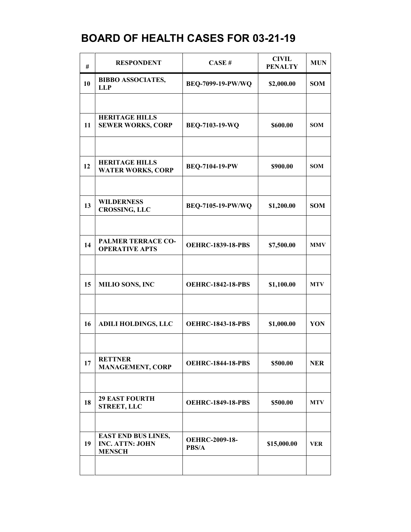| #  | <b>RESPONDENT</b>                                                     | CASE#                          | <b>CIVIL</b><br><b>PENALTY</b> | <b>MUN</b> |
|----|-----------------------------------------------------------------------|--------------------------------|--------------------------------|------------|
| 10 | <b>BIBBO ASSOCIATES,</b><br><b>LLP</b>                                | BEQ-7099-19-PW/WQ              | \$2,000.00                     | <b>SOM</b> |
|    |                                                                       |                                |                                |            |
| 11 | <b>HERITAGE HILLS</b><br><b>SEWER WORKS, CORP</b>                     | BEQ-7103-19-WQ                 | \$600.00                       | <b>SOM</b> |
|    |                                                                       |                                |                                |            |
| 12 | <b>HERITAGE HILLS</b><br><b>WATER WORKS, CORP</b>                     | <b>BEQ-7104-19-PW</b>          | \$900.00                       | <b>SOM</b> |
|    |                                                                       |                                |                                |            |
| 13 | <b>WILDERNESS</b><br><b>CROSSING, LLC</b>                             | BEQ-7105-19-PW/WQ              | \$1,200.00                     | <b>SOM</b> |
|    |                                                                       |                                |                                |            |
| 14 | <b>PALMER TERRACE CO-</b><br><b>OPERATIVE APTS</b>                    | <b>OEHRC-1839-18-PBS</b>       | \$7,500.00                     | <b>MMV</b> |
|    |                                                                       |                                |                                |            |
| 15 | <b>MILIO SONS, INC</b>                                                | <b>OEHRC-1842-18-PBS</b>       | \$1,100.00                     | <b>MTV</b> |
|    |                                                                       |                                |                                |            |
| 16 | <b>ADILI HOLDINGS, LLC</b>                                            | <b>OEHRC-1843-18-PBS</b>       | \$1,000.00                     | YON        |
|    |                                                                       |                                |                                |            |
| 17 | <b>RETTNER</b><br><b>MANAGEMENT, CORP</b>                             | <b>OEHRC-1844-18-PBS</b>       | \$500.00                       | <b>NER</b> |
|    |                                                                       |                                |                                |            |
| 18 | <b>29 EAST FOURTH</b><br><b>STREET, LLC</b>                           | <b>OEHRC-1849-18-PBS</b>       | \$500.00                       | <b>MTV</b> |
|    |                                                                       |                                |                                |            |
| 19 | <b>EAST END BUS LINES,</b><br><b>INC. ATTN: JOHN</b><br><b>MENSCH</b> | <b>OEHRC-2009-18-</b><br>PBS/A | \$15,000.00                    | VER        |
|    |                                                                       |                                |                                |            |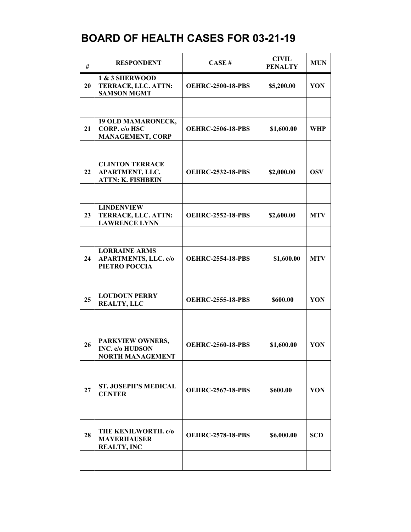| #  | <b>RESPONDENT</b>                                                            | CASE#                    | <b>CIVIL</b><br><b>PENALTY</b> | <b>MUN</b> |
|----|------------------------------------------------------------------------------|--------------------------|--------------------------------|------------|
| 20 | 1 & 3 SHERWOOD<br>TERRACE, LLC. ATTN:<br><b>SAMSON MGMT</b>                  | <b>OEHRC-2500-18-PBS</b> | \$5,200.00                     | YON        |
|    |                                                                              |                          |                                |            |
| 21 | 19 OLD MAMARONECK,<br>CORP. c/o HSC<br><b>MANAGEMENT, CORP</b>               | <b>OEHRC-2506-18-PBS</b> | \$1,600.00                     | <b>WHP</b> |
|    |                                                                              |                          |                                |            |
| 22 | <b>CLINTON TERRACE</b><br><b>APARTMENT, LLC.</b><br><b>ATTN: K. FISHBEIN</b> | <b>OEHRC-2532-18-PBS</b> | \$2,000.00                     | <b>OSV</b> |
|    |                                                                              |                          |                                |            |
| 23 | <b>LINDENVIEW</b><br>TERRACE, LLC. ATTN:<br><b>LAWRENCE LYNN</b>             | <b>OEHRC-2552-18-PBS</b> | \$2,600.00                     | <b>MTV</b> |
|    |                                                                              |                          |                                |            |
| 24 | <b>LORRAINE ARMS</b><br><b>APARTMENTS, LLC. c/o</b><br>PIETRO POCCIA         | <b>OEHRC-2554-18-PBS</b> | \$1,600.00                     | <b>MTV</b> |
|    |                                                                              |                          |                                |            |
| 25 | <b>LOUDOUN PERRY</b><br><b>REALTY, LLC</b>                                   | <b>OEHRC-2555-18-PBS</b> | \$600.00                       | YON        |
|    |                                                                              |                          |                                |            |
| 26 | PARKVIEW OWNERS,<br><b>INC. c/o HUDSON</b><br><b>NORTH MANAGEMENT</b>        | <b>OEHRC-2560-18-PBS</b> | \$1,600.00                     | YON        |
|    |                                                                              |                          |                                |            |
| 27 | <b>ST. JOSEPH'S MEDICAL</b><br><b>CENTER</b>                                 | <b>OEHRC-2567-18-PBS</b> | \$600.00                       | YON        |
|    |                                                                              |                          |                                |            |
| 28 | THE KENILWORTH. c/o<br><b>MAYERHAUSER</b><br><b>REALTY, INC</b>              | <b>OEHRC-2578-18-PBS</b> | \$6,000.00                     | <b>SCD</b> |
|    |                                                                              |                          |                                |            |